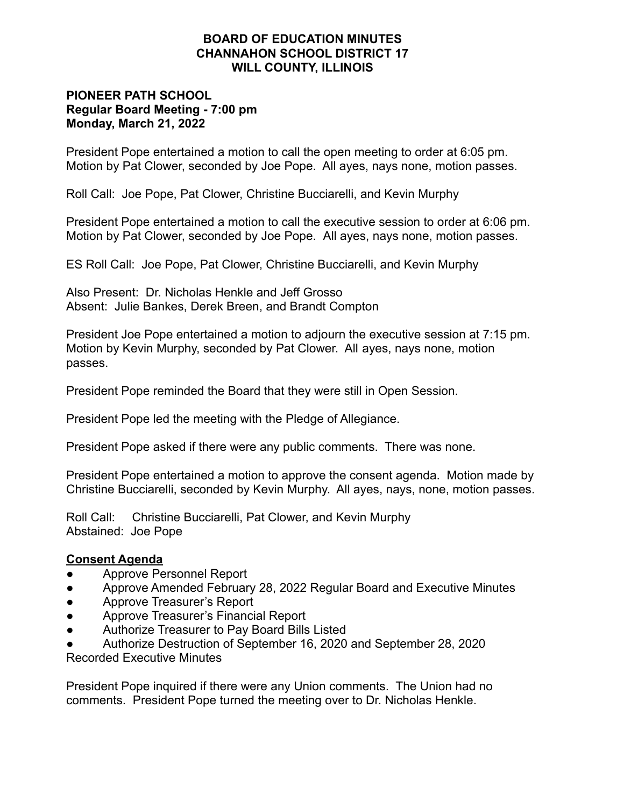# **BOARD OF EDUCATION MINUTES CHANNAHON SCHOOL DISTRICT 17 WILL COUNTY, ILLINOIS**

# **PIONEER PATH SCHOOL Regular Board Meeting - 7:00 pm Monday, March 21, 2022**

President Pope entertained a motion to call the open meeting to order at 6:05 pm. Motion by Pat Clower, seconded by Joe Pope. All ayes, nays none, motion passes.

Roll Call: Joe Pope, Pat Clower, Christine Bucciarelli, and Kevin Murphy

President Pope entertained a motion to call the executive session to order at 6:06 pm. Motion by Pat Clower, seconded by Joe Pope. All ayes, nays none, motion passes.

ES Roll Call: Joe Pope, Pat Clower, Christine Bucciarelli, and Kevin Murphy

Also Present: Dr. Nicholas Henkle and Jeff Grosso Absent: Julie Bankes, Derek Breen, and Brandt Compton

President Joe Pope entertained a motion to adjourn the executive session at 7:15 pm. Motion by Kevin Murphy, seconded by Pat Clower. All ayes, nays none, motion passes.

President Pope reminded the Board that they were still in Open Session.

President Pope led the meeting with the Pledge of Allegiance.

President Pope asked if there were any public comments. There was none.

President Pope entertained a motion to approve the consent agenda. Motion made by Christine Bucciarelli, seconded by Kevin Murphy. All ayes, nays, none, motion passes.

Roll Call: Christine Bucciarelli, Pat Clower, and Kevin Murphy Abstained: Joe Pope

# **Consent Agenda**

- Approve Personnel Report
- Approve Amended February 28, 2022 Regular Board and Executive Minutes
- Approve Treasurer's Report
- Approve Treasurer's Financial Report
- Authorize Treasurer to Pay Board Bills Listed
- Authorize Destruction of September 16, 2020 and September 28, 2020 Recorded Executive Minutes

President Pope inquired if there were any Union comments. The Union had no comments. President Pope turned the meeting over to Dr. Nicholas Henkle.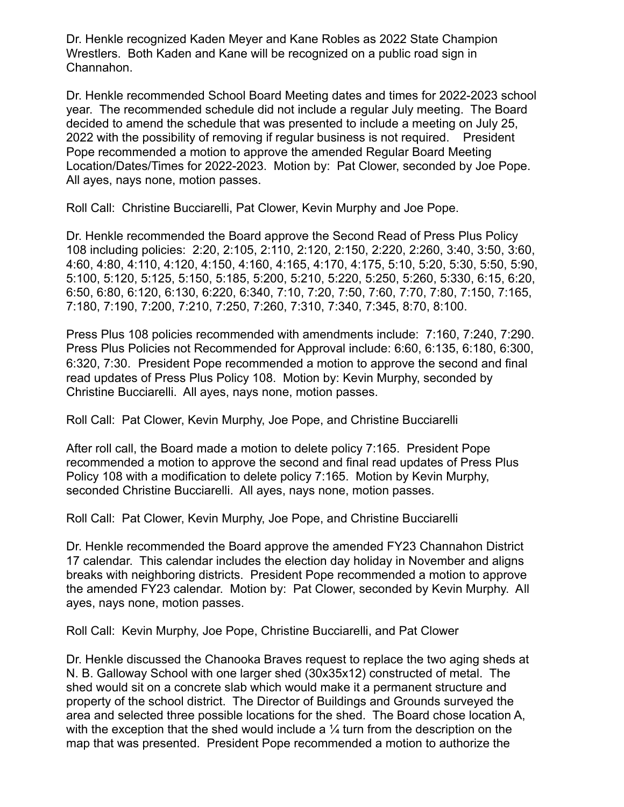Dr. Henkle recognized Kaden Meyer and Kane Robles as 2022 State Champion Wrestlers. Both Kaden and Kane will be recognized on a public road sign in Channahon.

Dr. Henkle recommended School Board Meeting dates and times for 2022-2023 school year. The recommended schedule did not include a regular July meeting. The Board decided to amend the schedule that was presented to include a meeting on July 25, 2022 with the possibility of removing if regular business is not required. President Pope recommended a motion to approve the amended Regular Board Meeting Location/Dates/Times for 2022-2023. Motion by: Pat Clower, seconded by Joe Pope. All ayes, nays none, motion passes.

Roll Call: Christine Bucciarelli, Pat Clower, Kevin Murphy and Joe Pope.

Dr. Henkle recommended the Board approve the Second Read of Press Plus Policy 108 including policies: 2:20, 2:105, 2:110, 2:120, 2:150, 2:220, 2:260, 3:40, 3:50, 3:60, 4:60, 4:80, 4:110, 4:120, 4:150, 4:160, 4:165, 4:170, 4:175, 5:10, 5:20, 5:30, 5:50, 5:90, 5:100, 5:120, 5:125, 5:150, 5:185, 5:200, 5:210, 5:220, 5:250, 5:260, 5:330, 6:15, 6:20, 6:50, 6:80, 6:120, 6:130, 6:220, 6:340, 7:10, 7:20, 7:50, 7:60, 7:70, 7:80, 7:150, 7:165, 7:180, 7:190, 7:200, 7:210, 7:250, 7:260, 7:310, 7:340, 7:345, 8:70, 8:100.

Press Plus 108 policies recommended with amendments include: 7:160, 7:240, 7:290. Press Plus Policies not Recommended for Approval include: 6:60, 6:135, 6:180, 6:300, 6:320, 7:30. President Pope recommended a motion to approve the second and final read updates of Press Plus Policy 108. Motion by: Kevin Murphy, seconded by Christine Bucciarelli. All ayes, nays none, motion passes.

Roll Call: Pat Clower, Kevin Murphy, Joe Pope, and Christine Bucciarelli

After roll call, the Board made a motion to delete policy 7:165. President Pope recommended a motion to approve the second and final read updates of Press Plus Policy 108 with a modification to delete policy 7:165. Motion by Kevin Murphy, seconded Christine Bucciarelli. All ayes, nays none, motion passes.

Roll Call: Pat Clower, Kevin Murphy, Joe Pope, and Christine Bucciarelli

Dr. Henkle recommended the Board approve the amended FY23 Channahon District 17 calendar. This calendar includes the election day holiday in November and aligns breaks with neighboring districts. President Pope recommended a motion to approve the amended FY23 calendar. Motion by: Pat Clower, seconded by Kevin Murphy. All ayes, nays none, motion passes.

Roll Call: Kevin Murphy, Joe Pope, Christine Bucciarelli, and Pat Clower

Dr. Henkle discussed the Chanooka Braves request to replace the two aging sheds at N. B. Galloway School with one larger shed (30x35x12) constructed of metal. The shed would sit on a concrete slab which would make it a permanent structure and property of the school district. The Director of Buildings and Grounds surveyed the area and selected three possible locations for the shed. The Board chose location A, with the exception that the shed would include a  $\frac{1}{4}$  turn from the description on the map that was presented. President Pope recommended a motion to authorize the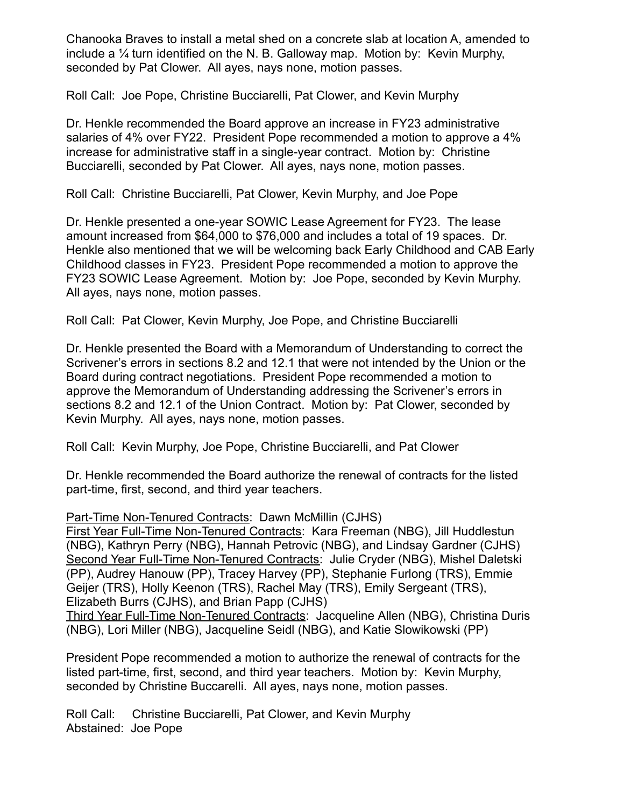Chanooka Braves to install a metal shed on a concrete slab at location A, amended to include a  $\frac{1}{4}$  turn identified on the N. B. Galloway map. Motion by: Kevin Murphy, seconded by Pat Clower. All ayes, nays none, motion passes.

Roll Call: Joe Pope, Christine Bucciarelli, Pat Clower, and Kevin Murphy

Dr. Henkle recommended the Board approve an increase in FY23 administrative salaries of 4% over FY22. President Pope recommended a motion to approve a 4% increase for administrative staff in a single-year contract. Motion by: Christine Bucciarelli, seconded by Pat Clower. All ayes, nays none, motion passes.

Roll Call: Christine Bucciarelli, Pat Clower, Kevin Murphy, and Joe Pope

Dr. Henkle presented a one-year SOWIC Lease Agreement for FY23. The lease amount increased from \$64,000 to \$76,000 and includes a total of 19 spaces. Dr. Henkle also mentioned that we will be welcoming back Early Childhood and CAB Early Childhood classes in FY23. President Pope recommended a motion to approve the FY23 SOWIC Lease Agreement. Motion by: Joe Pope, seconded by Kevin Murphy. All ayes, nays none, motion passes.

Roll Call: Pat Clower, Kevin Murphy, Joe Pope, and Christine Bucciarelli

Dr. Henkle presented the Board with a Memorandum of Understanding to correct the Scrivener's errors in sections 8.2 and 12.1 that were not intended by the Union or the Board during contract negotiations. President Pope recommended a motion to approve the Memorandum of Understanding addressing the Scrivener's errors in sections 8.2 and 12.1 of the Union Contract. Motion by: Pat Clower, seconded by Kevin Murphy. All ayes, nays none, motion passes.

Roll Call: Kevin Murphy, Joe Pope, Christine Bucciarelli, and Pat Clower

Dr. Henkle recommended the Board authorize the renewal of contracts for the listed part-time, first, second, and third year teachers.

Part-Time Non-Tenured Contracts: Dawn McMillin (CJHS)

First Year Full-Time Non-Tenured Contracts: Kara Freeman (NBG), Jill Huddlestun (NBG), Kathryn Perry (NBG), Hannah Petrovic (NBG), and Lindsay Gardner (CJHS) Second Year Full-Time Non-Tenured Contracts: Julie Cryder (NBG), Mishel Daletski (PP), Audrey Hanouw (PP), Tracey Harvey (PP), Stephanie Furlong (TRS), Emmie Geijer (TRS), Holly Keenon (TRS), Rachel May (TRS), Emily Sergeant (TRS), Elizabeth Burrs (CJHS), and Brian Papp (CJHS)

Third Year Full-Time Non-Tenured Contracts: Jacqueline Allen (NBG), Christina Duris (NBG), Lori Miller (NBG), Jacqueline Seidl (NBG), and Katie Slowikowski (PP)

President Pope recommended a motion to authorize the renewal of contracts for the listed part-time, first, second, and third year teachers. Motion by: Kevin Murphy, seconded by Christine Buccarelli. All ayes, nays none, motion passes.

Roll Call: Christine Bucciarelli, Pat Clower, and Kevin Murphy Abstained: Joe Pope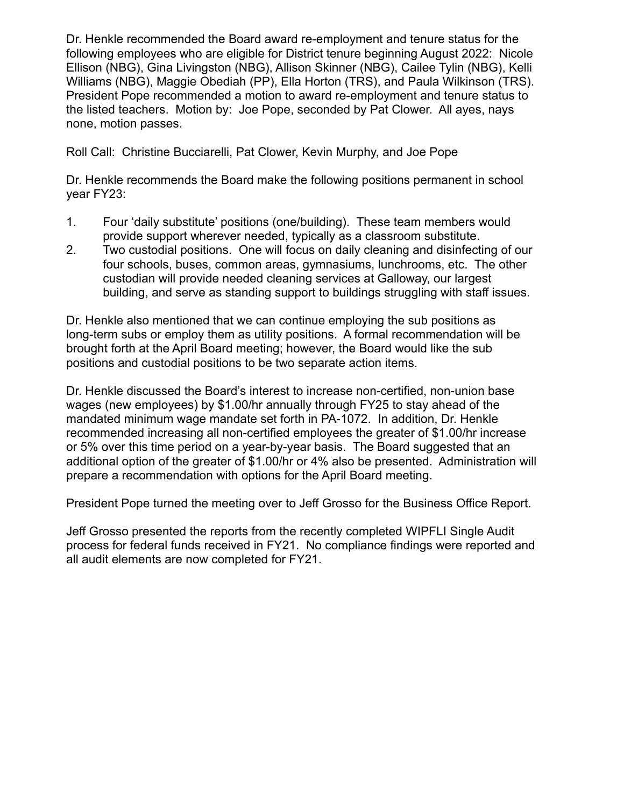Dr. Henkle recommended the Board award re-employment and tenure status for the following employees who are eligible for District tenure beginning August 2022: Nicole Ellison (NBG), Gina Livingston (NBG), Allison Skinner (NBG), Cailee Tylin (NBG), Kelli Williams (NBG), Maggie Obediah (PP), Ella Horton (TRS), and Paula Wilkinson (TRS). President Pope recommended a motion to award re-employment and tenure status to the listed teachers. Motion by: Joe Pope, seconded by Pat Clower. All ayes, nays none, motion passes.

Roll Call: Christine Bucciarelli, Pat Clower, Kevin Murphy, and Joe Pope

Dr. Henkle recommends the Board make the following positions permanent in school year FY23:

- 1. Four 'daily substitute' positions (one/building). These team members would provide support wherever needed, typically as a classroom substitute.
- 2. Two custodial positions. One will focus on daily cleaning and disinfecting of our four schools, buses, common areas, gymnasiums, lunchrooms, etc. The other custodian will provide needed cleaning services at Galloway, our largest building, and serve as standing support to buildings struggling with staff issues.

Dr. Henkle also mentioned that we can continue employing the sub positions as long-term subs or employ them as utility positions. A formal recommendation will be brought forth at the April Board meeting; however, the Board would like the sub positions and custodial positions to be two separate action items.

Dr. Henkle discussed the Board's interest to increase non-certified, non-union base wages (new employees) by \$1.00/hr annually through FY25 to stay ahead of the mandated minimum wage mandate set forth in PA-1072. In addition, Dr. Henkle recommended increasing all non-certified employees the greater of \$1.00/hr increase or 5% over this time period on a year-by-year basis. The Board suggested that an additional option of the greater of \$1.00/hr or 4% also be presented. Administration will prepare a recommendation with options for the April Board meeting.

President Pope turned the meeting over to Jeff Grosso for the Business Office Report.

Jeff Grosso presented the reports from the recently completed WIPFLI Single Audit process for federal funds received in FY21. No compliance findings were reported and all audit elements are now completed for FY21.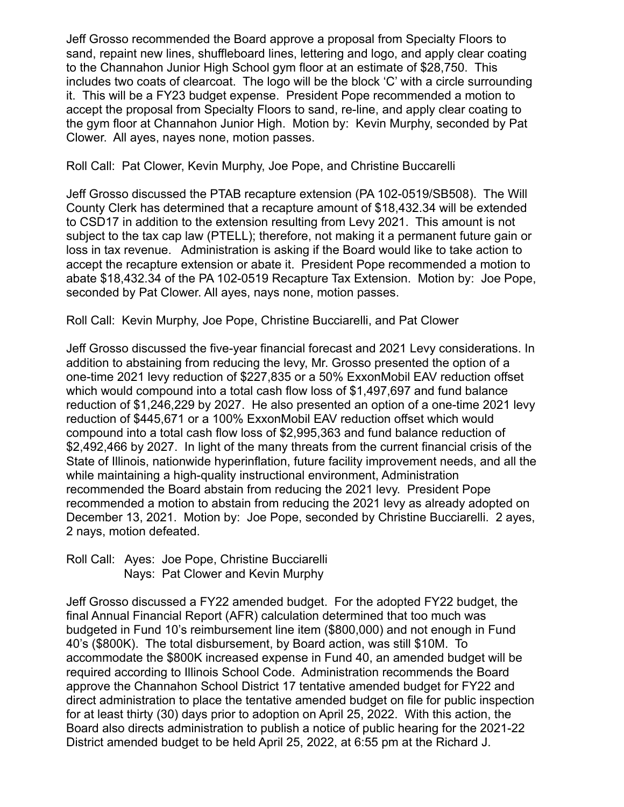Jeff Grosso recommended the Board approve a proposal from Specialty Floors to sand, repaint new lines, shuffleboard lines, lettering and logo, and apply clear coating to the Channahon Junior High School gym floor at an estimate of \$28,750. This includes two coats of clearcoat. The logo will be the block 'C' with a circle surrounding it. This will be a FY23 budget expense. President Pope recommended a motion to accept the proposal from Specialty Floors to sand, re-line, and apply clear coating to the gym floor at Channahon Junior High. Motion by: Kevin Murphy, seconded by Pat Clower. All ayes, nayes none, motion passes.

Roll Call: Pat Clower, Kevin Murphy, Joe Pope, and Christine Buccarelli

Jeff Grosso discussed the PTAB recapture extension (PA 102-0519/SB508). The Will County Clerk has determined that a recapture amount of \$18,432.34 will be extended to CSD17 in addition to the extension resulting from Levy 2021. This amount is not subject to the tax cap law (PTELL); therefore, not making it a permanent future gain or loss in tax revenue. Administration is asking if the Board would like to take action to accept the recapture extension or abate it. President Pope recommended a motion to abate \$18,432.34 of the PA 102-0519 Recapture Tax Extension. Motion by: Joe Pope, seconded by Pat Clower. All ayes, nays none, motion passes.

Roll Call: Kevin Murphy, Joe Pope, Christine Bucciarelli, and Pat Clower

Jeff Grosso discussed the five-year financial forecast and 2021 Levy considerations. In addition to abstaining from reducing the levy, Mr. Grosso presented the option of a one-time 2021 levy reduction of \$227,835 or a 50% ExxonMobil EAV reduction offset which would compound into a total cash flow loss of \$1,497,697 and fund balance reduction of \$1,246,229 by 2027. He also presented an option of a one-time 2021 levy reduction of \$445,671 or a 100% ExxonMobil EAV reduction offset which would compound into a total cash flow loss of \$2,995,363 and fund balance reduction of \$2,492,466 by 2027. In light of the many threats from the current financial crisis of the State of Illinois, nationwide hyperinflation, future facility improvement needs, and all the while maintaining a high-quality instructional environment, Administration recommended the Board abstain from reducing the 2021 levy. President Pope recommended a motion to abstain from reducing the 2021 levy as already adopted on December 13, 2021. Motion by: Joe Pope, seconded by Christine Bucciarelli. 2 ayes, 2 nays, motion defeated.

Roll Call: Ayes: Joe Pope, Christine Bucciarelli Nays: Pat Clower and Kevin Murphy

Jeff Grosso discussed a FY22 amended budget. For the adopted FY22 budget, the final Annual Financial Report (AFR) calculation determined that too much was budgeted in Fund 10's reimbursement line item (\$800,000) and not enough in Fund 40's (\$800K). The total disbursement, by Board action, was still \$10M. To accommodate the \$800K increased expense in Fund 40, an amended budget will be required according to Illinois School Code. Administration recommends the Board approve the Channahon School District 17 tentative amended budget for FY22 and direct administration to place the tentative amended budget on file for public inspection for at least thirty (30) days prior to adoption on April 25, 2022. With this action, the Board also directs administration to publish a notice of public hearing for the 2021-22 District amended budget to be held April 25, 2022, at 6:55 pm at the Richard J.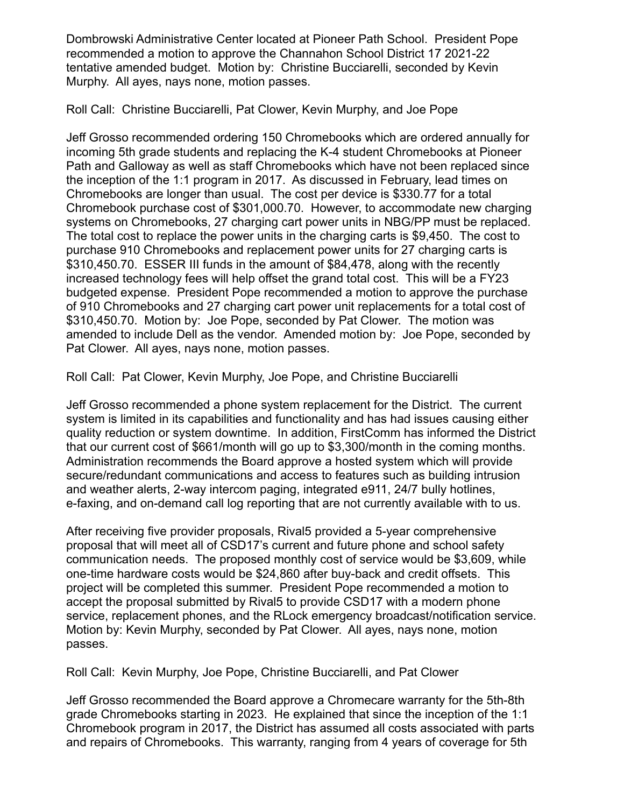Dombrowski Administrative Center located at Pioneer Path School. President Pope recommended a motion to approve the Channahon School District 17 2021-22 tentative amended budget. Motion by: Christine Bucciarelli, seconded by Kevin Murphy. All ayes, nays none, motion passes.

Roll Call: Christine Bucciarelli, Pat Clower, Kevin Murphy, and Joe Pope

Jeff Grosso recommended ordering 150 Chromebooks which are ordered annually for incoming 5th grade students and replacing the K-4 student Chromebooks at Pioneer Path and Galloway as well as staff Chromebooks which have not been replaced since the inception of the 1:1 program in 2017. As discussed in February, lead times on Chromebooks are longer than usual. The cost per device is \$330.77 for a total Chromebook purchase cost of \$301,000.70. However, to accommodate new charging systems on Chromebooks, 27 charging cart power units in NBG/PP must be replaced. The total cost to replace the power units in the charging carts is \$9,450. The cost to purchase 910 Chromebooks and replacement power units for 27 charging carts is \$310,450.70. ESSER III funds in the amount of \$84,478, along with the recently increased technology fees will help offset the grand total cost. This will be a FY23 budgeted expense. President Pope recommended a motion to approve the purchase of 910 Chromebooks and 27 charging cart power unit replacements for a total cost of \$310,450.70. Motion by: Joe Pope, seconded by Pat Clower. The motion was amended to include Dell as the vendor. Amended motion by: Joe Pope, seconded by Pat Clower. All ayes, nays none, motion passes.

Roll Call: Pat Clower, Kevin Murphy, Joe Pope, and Christine Bucciarelli

Jeff Grosso recommended a phone system replacement for the District. The current system is limited in its capabilities and functionality and has had issues causing either quality reduction or system downtime. In addition, FirstComm has informed the District that our current cost of \$661/month will go up to \$3,300/month in the coming months. Administration recommends the Board approve a hosted system which will provide secure/redundant communications and access to features such as building intrusion and weather alerts, 2-way intercom paging, integrated e911, 24/7 bully hotlines, e-faxing, and on-demand call log reporting that are not currently available with to us.

After receiving five provider proposals, Rival5 provided a 5-year comprehensive proposal that will meet all of CSD17's current and future phone and school safety communication needs. The proposed monthly cost of service would be \$3,609, while one-time hardware costs would be \$24,860 after buy-back and credit offsets. This project will be completed this summer. President Pope recommended a motion to accept the proposal submitted by Rival5 to provide CSD17 with a modern phone service, replacement phones, and the RLock emergency broadcast/notification service. Motion by: Kevin Murphy, seconded by Pat Clower. All ayes, nays none, motion passes.

Roll Call: Kevin Murphy, Joe Pope, Christine Bucciarelli, and Pat Clower

Jeff Grosso recommended the Board approve a Chromecare warranty for the 5th-8th grade Chromebooks starting in 2023. He explained that since the inception of the 1:1 Chromebook program in 2017, the District has assumed all costs associated with parts and repairs of Chromebooks. This warranty, ranging from 4 years of coverage for 5th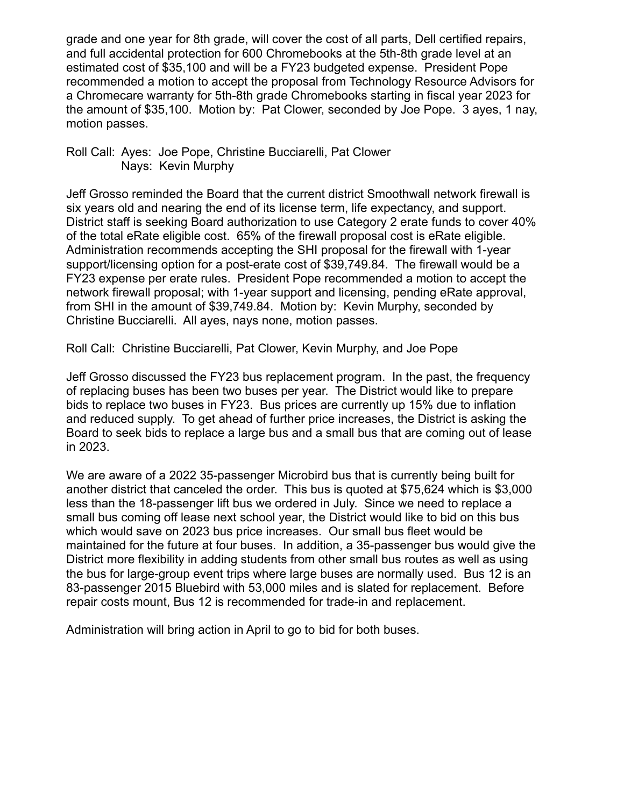grade and one year for 8th grade, will cover the cost of all parts, Dell certified repairs, and full accidental protection for 600 Chromebooks at the 5th-8th grade level at an estimated cost of \$35,100 and will be a FY23 budgeted expense. President Pope recommended a motion to accept the proposal from Technology Resource Advisors for a Chromecare warranty for 5th-8th grade Chromebooks starting in fiscal year 2023 for the amount of \$35,100. Motion by: Pat Clower, seconded by Joe Pope. 3 ayes, 1 nay, motion passes.

# Roll Call: Ayes: Joe Pope, Christine Bucciarelli, Pat Clower Nays: Kevin Murphy

Jeff Grosso reminded the Board that the current district Smoothwall network firewall is six years old and nearing the end of its license term, life expectancy, and support. District staff is seeking Board authorization to use Category 2 erate funds to cover 40% of the total eRate eligible cost. 65% of the firewall proposal cost is eRate eligible. Administration recommends accepting the SHI proposal for the firewall with 1-year support/licensing option for a post-erate cost of \$39,749.84. The firewall would be a FY23 expense per erate rules. President Pope recommended a motion to accept the network firewall proposal; with 1-year support and licensing, pending eRate approval, from SHI in the amount of \$39,749.84. Motion by: Kevin Murphy, seconded by Christine Bucciarelli. All ayes, nays none, motion passes.

Roll Call: Christine Bucciarelli, Pat Clower, Kevin Murphy, and Joe Pope

Jeff Grosso discussed the FY23 bus replacement program. In the past, the frequency of replacing buses has been two buses per year. The District would like to prepare bids to replace two buses in FY23. Bus prices are currently up 15% due to inflation and reduced supply. To get ahead of further price increases, the District is asking the Board to seek bids to replace a large bus and a small bus that are coming out of lease in 2023.

We are aware of a 2022 35-passenger Microbird bus that is currently being built for another district that canceled the order. This bus is quoted at \$75,624 which is \$3,000 less than the 18-passenger lift bus we ordered in July. Since we need to replace a small bus coming off lease next school year, the District would like to bid on this bus which would save on 2023 bus price increases. Our small bus fleet would be maintained for the future at four buses. In addition, a 35-passenger bus would give the District more flexibility in adding students from other small bus routes as well as using the bus for large-group event trips where large buses are normally used. Bus 12 is an 83-passenger 2015 Bluebird with 53,000 miles and is slated for replacement. Before repair costs mount, Bus 12 is recommended for trade-in and replacement.

Administration will bring action in April to go to bid for both buses.